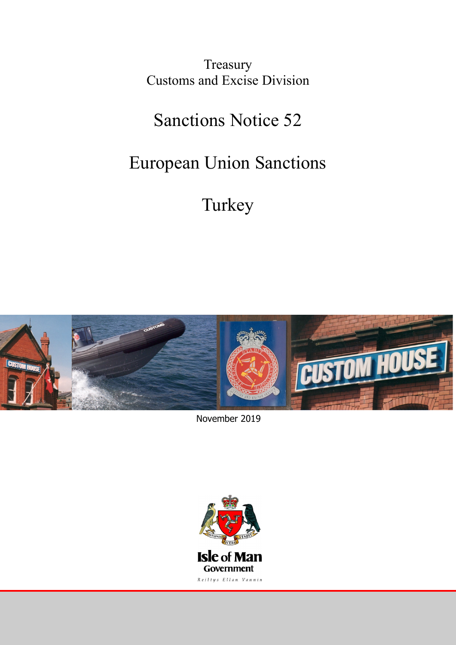Treasury Customs and Excise Division

## Sanctions Notice 52

## European Union Sanctions

# Turkey



November 2019

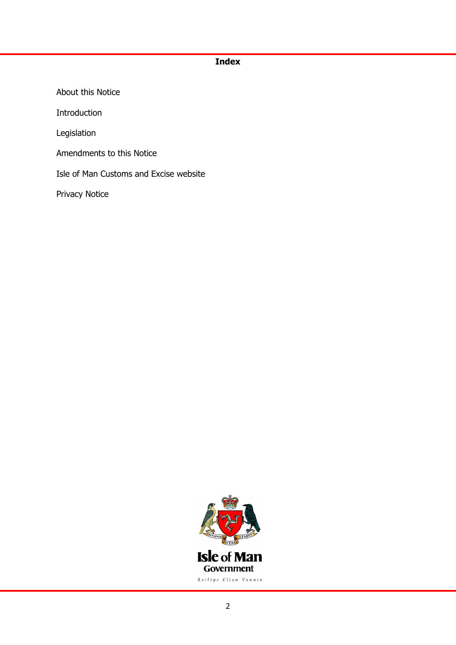## **Index**

About this Notice Introduction Legislation Amendments to this Notice Isle of Man Customs and Excise website Privacy Notice

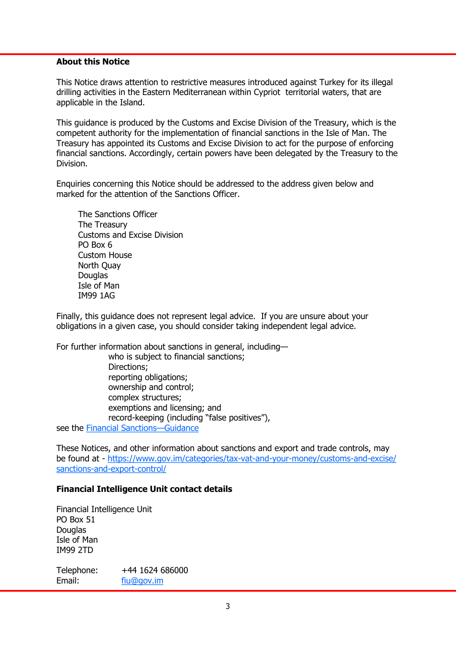### **About this Notice**

This Notice draws attention to restrictive measures introduced against Turkey for its illegal drilling activities in the Eastern Mediterranean within Cypriot territorial waters, that are applicable in the Island.

This guidance is produced by the Customs and Excise Division of the Treasury, which is the competent authority for the implementation of financial sanctions in the Isle of Man. The Treasury has appointed its Customs and Excise Division to act for the purpose of enforcing financial sanctions. Accordingly, certain powers have been delegated by the Treasury to the Division.

Enquiries concerning this Notice should be addressed to the address given below and marked for the attention of the Sanctions Officer.

The Sanctions Officer The Treasury Customs and Excise Division PO Box 6 Custom House North Quay **Douglas** Isle of Man IM99 1AG

Finally, this guidance does not represent legal advice. If you are unsure about your obligations in a given case, you should consider taking independent legal advice.

For further information about sanctions in general, including—

who is subject to financial sanctions; Directions; reporting obligations; ownership and control; complex structures; exemptions and licensing; and record-keeping (including "false positives"), see the [Financial Sanctions](https://www.gov.im/media/1362741/financial-sanctions-guidance-september-2018-final.pdf)—Guidance

These Notices, and other information about sanctions and export and trade controls, may be found at - [https://www.gov.im/categories/tax-vat-and-your-money/customs-and-excise/](https://www.gov.im/categories/tax-vat-and-your-money/customs-and-excise/sanctions-and-export-control/) [sanctions-and-export-control/](https://www.gov.im/categories/tax-vat-and-your-money/customs-and-excise/sanctions-and-export-control/)

#### **Financial Intelligence Unit contact details**

Financial Intelligence Unit PO Box 51 Douglas Isle of Man IM99 2TD

Telephone: +44 1624 686000 Email: [fiu@gov.im](mailto:fiu@gov.im)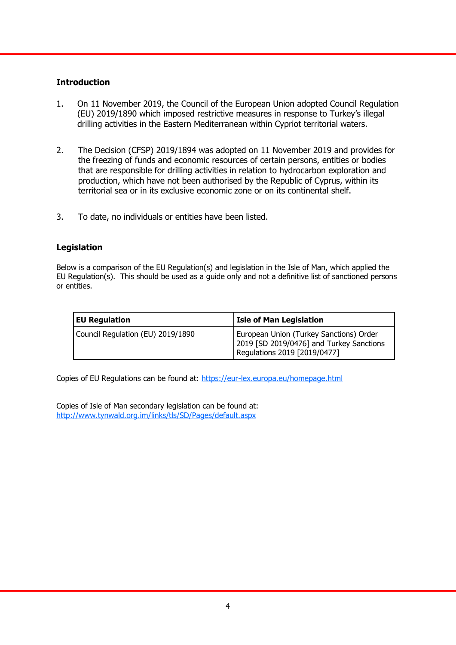## **Introduction**

- 1. On 11 November 2019, the Council of the European Union adopted Council Regulation (EU) 2019/1890 which imposed restrictive measures in response to Turkey's illegal drilling activities in the Eastern Mediterranean within Cypriot territorial waters.
- 2. The Decision (CFSP) 2019/1894 was adopted on 11 November 2019 and provides for the freezing of funds and economic resources of certain persons, entities or bodies that are responsible for drilling activities in relation to hydrocarbon exploration and production, which have not been authorised by the Republic of Cyprus, within its territorial sea or in its exclusive economic zone or on its continental shelf.
- 3. To date, no individuals or entities have been listed.

## **Legislation**

Below is a comparison of the EU Regulation(s) and legislation in the Isle of Man, which applied the EU Regulation(s). This should be used as a guide only and not a definitive list of sanctioned persons or entities.

| <b>EU Regulation</b>              | <b>Isle of Man Legislation</b>                                                                                      |
|-----------------------------------|---------------------------------------------------------------------------------------------------------------------|
| Council Regulation (EU) 2019/1890 | European Union (Turkey Sanctions) Order<br>2019 [SD 2019/0476] and Turkey Sanctions<br>Regulations 2019 [2019/0477] |

Copies of EU Regulations can be found at:<https://eur-lex.europa.eu/homepage.html>

Copies of Isle of Man secondary legislation can be found at: [http://www.tynwald.org.im/links/tls/SD/Pages/default.aspx](http://www.tynwald.org.im/links/)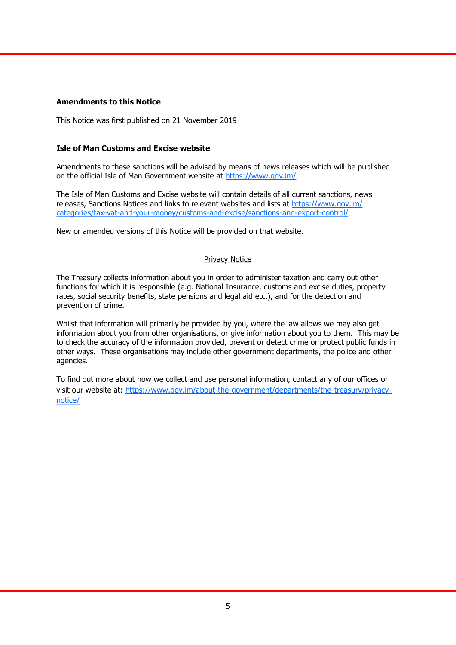#### **Amendments to this Notice**

This Notice was first published on 21 November 2019

#### **Isle of Man Customs and Excise website**

Amendments to these sanctions will be advised by means of news releases which will be published on the official Isle of Man Government website at <https://www.gov.im/>

The Isle of Man Customs and Excise website will contain details of all current sanctions, news releases, Sanctions Notices and links to relevant websites and lists at [https://www.gov.im/](https://www.gov.im/categories/tax-vat-and-your-money/customs-and-excise/sanctions-and-export-control/) [categories/tax-vat-and-your-money/customs-and-excise/sanctions-and-export-control/](https://www.gov.im/categories/tax-vat-and-your-money/customs-and-excise/sanctions-and-export-control/)

New or amended versions of this Notice will be provided on that website.

#### Privacy Notice

The Treasury collects information about you in order to administer taxation and carry out other functions for which it is responsible (e.g. National Insurance, customs and excise duties, property rates, social security benefits, state pensions and legal aid etc.), and for the detection and prevention of crime.

Whilst that information will primarily be provided by you, where the law allows we may also get information about you from other organisations, or give information about you to them. This may be to check the accuracy of the information provided, prevent or detect crime or protect public funds in other ways. These organisations may include other government departments, the police and other agencies.

To find out more about how we collect and use personal information, contact any of our offices or visit our website at: [https://www.gov.im/about-the-government/departments/the-treasury/privacy](https://www.gov.im/about-the-government/departments/the-treasury/privacy-notice/)[notice/](https://www.gov.im/about-the-government/departments/the-treasury/privacy-notice/)